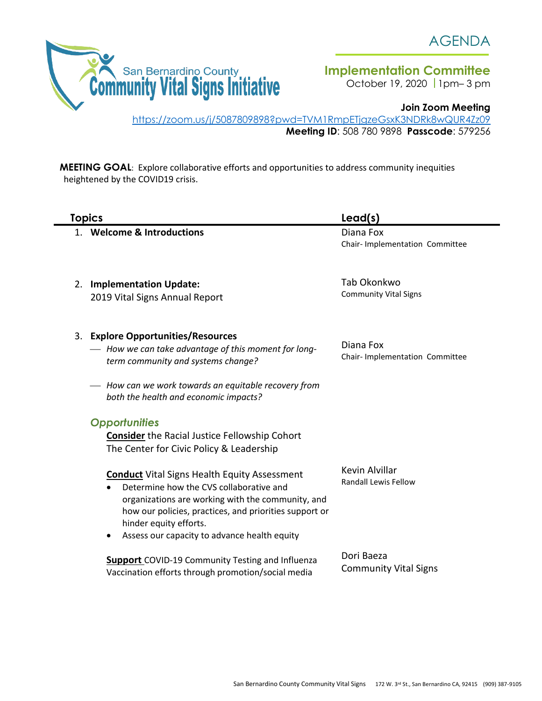

**Implementation Committee** 

October 19, 2020 | 1pm-3 pm

**Join Zoom Meeting**

<https://zoom.us/j/5087809898?pwd=TVM1RmpETjgzeGsxK3NDRk8wQUR4Zz09> **Meeting ID**: 508 780 9898 **Passcode**: 579256

**MEETING GOAL**: Explore collaborative efforts and opportunities to address community inequities heightened by the COVID19 crisis.

| <b>Topics</b>                                                                                                                                                                                                                                                                                                     | Lead(s)                                      |
|-------------------------------------------------------------------------------------------------------------------------------------------------------------------------------------------------------------------------------------------------------------------------------------------------------------------|----------------------------------------------|
| 1. Welcome & Introductions                                                                                                                                                                                                                                                                                        | Diana Fox<br>Chair- Implementation Committee |
| 2. Implementation Update:<br>2019 Vital Signs Annual Report                                                                                                                                                                                                                                                       | Tab Okonkwo<br><b>Community Vital Signs</b>  |
| 3. Explore Opportunities/Resources<br>- How we can take advantage of this moment for long-<br>term community and systems change?                                                                                                                                                                                  | Diana Fox<br>Chair- Implementation Committee |
| - How can we work towards an equitable recovery from<br>both the health and economic impacts?                                                                                                                                                                                                                     |                                              |
| <b>Opportunities</b><br><b>Consider</b> the Racial Justice Fellowship Cohort<br>The Center for Civic Policy & Leadership                                                                                                                                                                                          |                                              |
| <b>Conduct</b> Vital Signs Health Equity Assessment<br>Determine how the CVS collaborative and<br>$\bullet$<br>organizations are working with the community, and<br>how our policies, practices, and priorities support or<br>hinder equity efforts.<br>Assess our capacity to advance health equity<br>$\bullet$ | Kevin Alvillar<br>Randall Lewis Fellow       |
| <b>Support</b> COVID-19 Community Testing and Influenza<br>Vaccination efforts through promotion/social media                                                                                                                                                                                                     | Dori Baeza<br><b>Community Vital Signs</b>   |